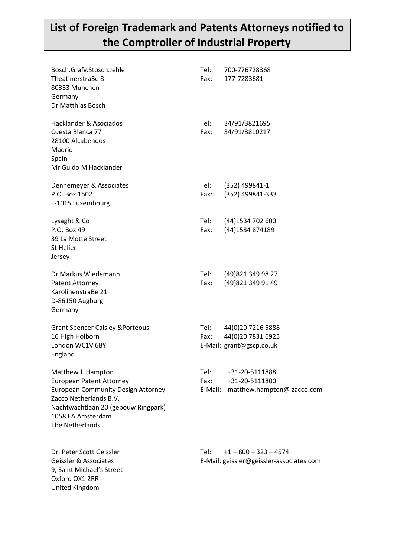## **List of Foreign Trademark and Patents Attorneys notified to the Comptroller of Industrial Property**

| Bosch.Grafv.Stosch.Jehle<br>TheatinerstraBe 8<br>80333 Munchen<br>Germany<br>Dr Matthias Bosch                                                                                                              | Tel:<br>Fax:              | 700-776728368<br>177-7283681                                        |
|-------------------------------------------------------------------------------------------------------------------------------------------------------------------------------------------------------------|---------------------------|---------------------------------------------------------------------|
| Hacklander & Asociados<br>Cuesta Blanca 77<br>28100 Alcabendos<br>Madrid<br>Spain<br>Mr Guido M Hacklander                                                                                                  | Tel:<br>Fax:              | 34/91/3821695<br>34/91/3810217                                      |
| Dennemeyer & Associates<br>P.O. Box 1502<br>L-1015 Luxembourg                                                                                                                                               | Tel:<br>Fax:              | (352) 499841-1<br>(352) 499841-333                                  |
| Lysaght & Co<br>P.O. Box 49<br>39 La Motte Street<br><b>St Helier</b><br>Jersey                                                                                                                             | Tel:<br>Fax:              | (44) 1534 702 600<br>(44) 1534 874189                               |
| Dr Markus Wiedemann<br><b>Patent Attorney</b><br>KarolinenstraBe 21<br>D-86150 Augburg<br>Germany                                                                                                           | Tel:<br>Fax:              | (49) 821 349 98 27<br>(49) 821 349 91 49                            |
| <b>Grant Spencer Caisley &amp;Porteous</b><br>16 High Holborn<br>London WC1V 6BY<br>England                                                                                                                 | Tel:<br>Fax:              | 44(0)20 7216 5888<br>44(0)20 7831 6925<br>E-Mail: grant@gscp.co.uk  |
| Matthew J. Hampton<br><b>European Patent Attorney</b><br><b>European Community Design Attorney</b><br>Zacco Netherlands B.V.<br>Nachtwachtlaan 20 (gebouw Ringpark)<br>1058 EA Amsterdam<br>The Netherlands | Tel: l<br>Fax:<br>E-Mail: | +31-20-5111888<br>+31-20-5111800<br>matthew.hampton@ zacco.com      |
| Dr. Peter Scott Geissler<br>Geissler & Associates<br>9, Saint Michael's Street<br>Oxford OX1 2RR<br>United Kingdom                                                                                          | Tel:                      | $+1 - 800 - 323 - 4574$<br>E-Mail: geissler@geissler-associates.com |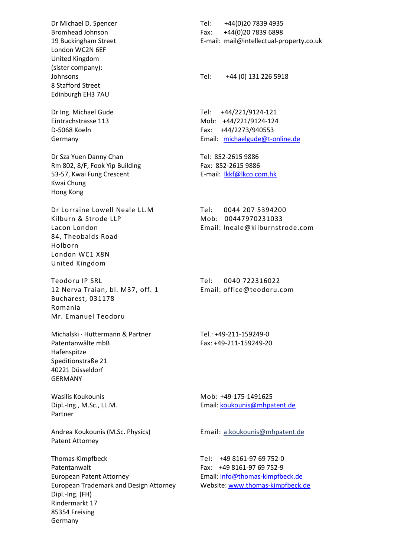Dr Michael D. Spencer Bromhead Johnson 19 Buckingham Street London WC2N 6EF United Kingdom (sister company): Johnsons 8 Stafford Street Edinburgh EH3 7AU

Dr Ing. Michael Gude Eintrachstrasse 113 D-5068 Koeln Germany

Dr Sza Yuen Danny Chan Rm 802, 8/F, Fook Yip Building 53-57, Kwai Fung Crescent Kwai Chung Hong Kong

Dr Lorraine Lowell Neale LL.M Kilburn & Strode LLP Lacon London 84, Theobalds Road Holborn London WC1 X8N United Kingdom

Teodoru IP SRL 12 Nerva Traian, bl. M37, off. 1 Bucharest, 031178 Romania Mr. Emanuel Teodoru

Michalski · Hüttermann & Partner Patentanwälte mbB Hafenspitze Speditionstraße 21 40221 Düsseldorf GERMANY

Wasilis Koukounis Dipl.-Ing., M.Sc., LL.M. Partner

Andrea Koukounis (M.Sc. Physics) Patent Attorney

Thomas Kimpfbeck Patentanwalt European Patent Attorney European Trademark and Design Attorney Dipl.-Ing. (FH) Rindermarkt 17 85354 Freising Germany

Tel: +44(0)20 7839 4935 Fax: +44(0)20 7839 6898 E-mail: mail@intellectual-property.co.uk

Tel: +44 (0) 131 226 5918

Tel: +44/221/9124-121 Mob: +44/221/9124-124 Fax: +44/2273/940553 Email: [michaelgude@t-online.de](mailto:michaelgude@t-online.de)

Tel: 852-2615 9886 Fax: 852-2615 9886 E-mail: [lkkf@lkco.com.hk](mailto:lkkf@lkco.com.hk)

Tel: 0044 207 5394200 Mob: 00447970231033 Email: lneale@kilburnstrode.com

Tel: 0040 722316022 Email: office@teodoru.com

Tel.: +49-211-159249-0 Fax: +49-211-159249-20

Mob: +49-175-1491625 Email: [koukounis@mhpatent.de](mailto:koukounis@mhpatent.de)

Email: a[.koukounis@mhpatent.de](mailto:koukounis@mhpatent.de)

Tel: +49 8161-97 69 752-0 Fax: +49 8161-97 69 752-9 Email[: info@thomas-kimpfbeck.de](mailto:info@thomas-kimpfbeck.de) Website: [www.thomas-kimpfbeck.de](http://www.thomas-kimpfbeck.de/)